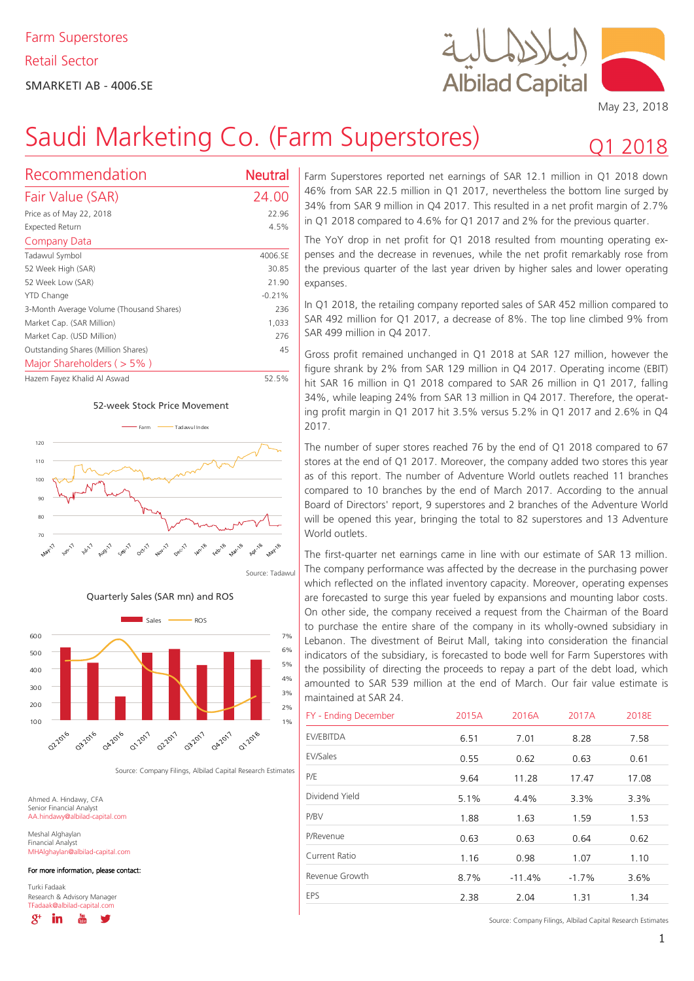

Q1 2018

# Saudi Marketing Co. (Farm Superstores)

| Recommendation                           | Neutral  |
|------------------------------------------|----------|
| Fair Value (SAR)                         | 24.00    |
| Price as of May 22, 2018                 | 22.96    |
| Expected Return                          | 4.5%     |
| Company Data                             |          |
| Tadawul Symbol                           | 4006.SE  |
| 52 Week High (SAR)                       | 30.85    |
| 52 Week Low (SAR)                        | 21.90    |
| YTD Change                               | $-0.21%$ |
| 3-Month Average Volume (Thousand Shares) | 236      |
| Market Cap. (SAR Million)                | 1,033    |
| Market Cap. (USD Million)                | 276      |
| Outstanding Shares (Million Shares)      | 45       |
| Major Shareholders ( $> 5\%$ )           |          |
| Hazem Fayez Khalid Al Aswad              | 52.5%    |









Source: Company Filings, Albilad Capital Research Estimates

Ahmed A. Hindawy, CFA Senior Financial Analyst AA.hindawy@albilad-capital.com

Meshal Alghaylan Financial Analyst MHAlghaylan@albilad-capital.com

For more information, please contact:

Turki Fadaak Research & Advisory Manager TFadaak@albilad-capital.com

 $R^+$ in

Farm Superstores reported net earnings of SAR 12.1 million in Q1 2018 down 46% from SAR 22.5 million in Q1 2017, nevertheless the bottom line surged by 34% from SAR 9 million in Q4 2017. This resulted in a net profit margin of 2.7% in Q1 2018 compared to 4.6% for Q1 2017 and 2% for the previous quarter.

The YoY drop in net profit for Q1 2018 resulted from mounting operating expenses and the decrease in revenues, while the net profit remarkably rose from the previous quarter of the last year driven by higher sales and lower operating expanses.

In Q1 2018, the retailing company reported sales of SAR 452 million compared to SAR 492 million for Q1 2017, a decrease of 8%. The top line climbed 9% from SAR 499 million in Q4 2017.

Gross profit remained unchanged in Q1 2018 at SAR 127 million, however the figure shrank by 2% from SAR 129 million in Q4 2017. Operating income (EBIT) hit SAR 16 million in Q1 2018 compared to SAR 26 million in Q1 2017, falling 34%, while leaping 24% from SAR 13 million in Q4 2017. Therefore, the operating profit margin in Q1 2017 hit 3.5% versus 5.2% in Q1 2017 and 2.6% in Q4 2017.

The number of super stores reached 76 by the end of Q1 2018 compared to 67 stores at the end of Q1 2017. Moreover, the company added two stores this year as of this report. The number of Adventure World outlets reached 11 branches compared to 10 branches by the end of March 2017. According to the annual Board of Directors' report, 9 superstores and 2 branches of the Adventure World will be opened this year, bringing the total to 82 superstores and 13 Adventure World outlets.

The first-quarter net earnings came in line with our estimate of SAR 13 million. The company performance was affected by the decrease in the purchasing power which reflected on the inflated inventory capacity. Moreover, operating expenses are forecasted to surge this year fueled by expansions and mounting labor costs. On other side, the company received a request from the Chairman of the Board to purchase the entire share of the company in its wholly-owned subsidiary in Lebanon. The divestment of Beirut Mall, taking into consideration the financial indicators of the subsidiary, is forecasted to bode well for Farm Superstores with the possibility of directing the proceeds to repay a part of the debt load, which amounted to SAR 539 million at the end of March. Our fair value estimate is maintained at SAR 24.

| FY - Ending December | 2015A | 2016A    | 2017A   | 2018E |
|----------------------|-------|----------|---------|-------|
| EV/EBITDA            | 6.51  | 7.01     | 8.28    | 7.58  |
| EV/Sales             | 0.55  | 0.62     | 0.63    | 0.61  |
| P/E                  | 9.64  | 11.28    | 17.47   | 17.08 |
| Dividend Yield       | 5.1%  | 4.4%     | 3.3%    | 3.3%  |
| P/BV                 | 1.88  | 1.63     | 1.59    | 1.53  |
| P/Revenue            | 0.63  | 0.63     | 0.64    | 0.62  |
| Current Ratio        | 1.16  | 0.98     | 1.07    | 1.10  |
| Revenue Growth       | 8.7%  | $-11.4%$ | $-1.7%$ | 3.6%  |
| EPS                  | 2.38  | 2.04     | 1.31    | 1.34  |

Source: Company Filings, Albilad Capital Research Estimates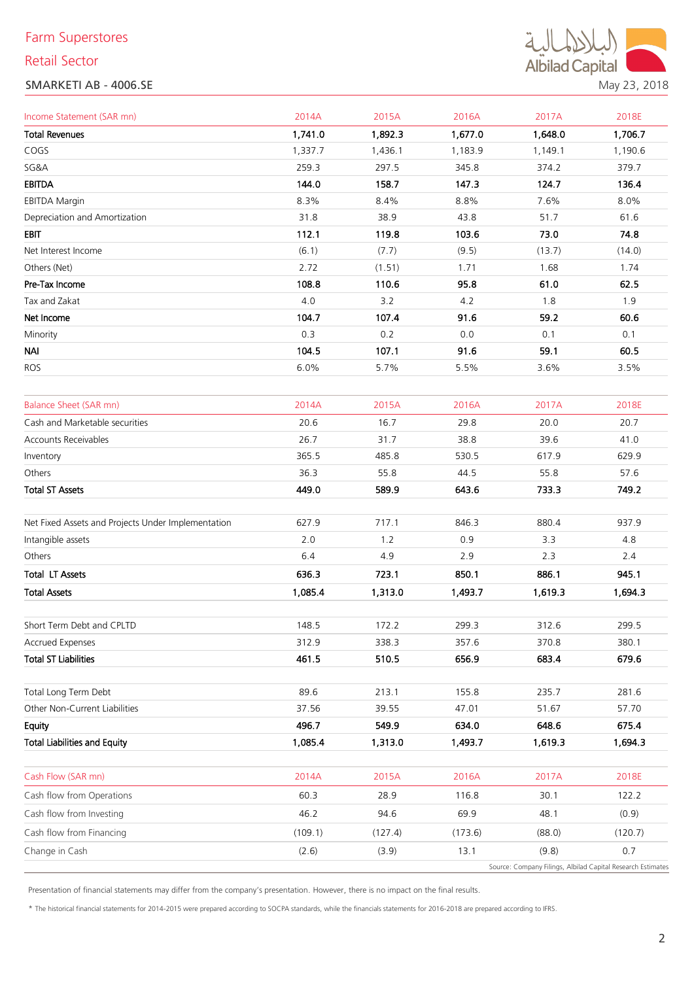# Farm Superstores

## Retail Sector

## SMARKETI AB - 4006.SE



| Income Statement (SAR mn)                          | 2014A   | 2015A   | 2016A   | 2017A   | 2018E   |
|----------------------------------------------------|---------|---------|---------|---------|---------|
| <b>Total Revenues</b>                              | 1,741.0 | 1,892.3 | 1,677.0 | 1,648.0 | 1,706.7 |
| COGS                                               | 1,337.7 | 1,436.1 | 1,183.9 | 1,149.1 | 1,190.6 |
| SG&A                                               | 259.3   | 297.5   | 345.8   | 374.2   | 379.7   |
| <b>EBITDA</b>                                      | 144.0   | 158.7   | 147.3   | 124.7   | 136.4   |
| <b>EBITDA Margin</b>                               | 8.3%    | 8.4%    | 8.8%    | 7.6%    | 8.0%    |
| Depreciation and Amortization                      | 31.8    | 38.9    | 43.8    | 51.7    | 61.6    |
| <b>EBIT</b>                                        | 112.1   | 119.8   | 103.6   | 73.0    | 74.8    |
| Net Interest Income                                | (6.1)   | (7.7)   | (9.5)   | (13.7)  | (14.0)  |
| Others (Net)                                       | 2.72    | (1.51)  | 1.71    | 1.68    | 1.74    |
| Pre-Tax Income                                     | 108.8   | 110.6   | 95.8    | 61.0    | 62.5    |
| Tax and Zakat                                      | 4.0     | 3.2     | 4.2     | 1.8     | 1.9     |
| Net Income                                         | 104.7   | 107.4   | 91.6    | 59.2    | 60.6    |
| Minority                                           | 0.3     | 0.2     | 0.0     | 0.1     | 0.1     |
| <b>NAI</b>                                         | 104.5   | 107.1   | 91.6    | 59.1    | 60.5    |
| <b>ROS</b>                                         | 6.0%    | 5.7%    | 5.5%    | 3.6%    | 3.5%    |
| <b>Balance Sheet (SAR mn)</b>                      | 2014A   | 2015A   | 2016A   | 2017A   | 2018E   |
| Cash and Marketable securities                     | 20.6    | 16.7    | 29.8    | 20.0    | 20.7    |
| Accounts Receivables                               | 26.7    | 31.7    | 38.8    | 39.6    | 41.0    |
| Inventory                                          | 365.5   | 485.8   | 530.5   | 617.9   | 629.9   |
| Others                                             | 36.3    | 55.8    | 44.5    | 55.8    | 57.6    |
| <b>Total ST Assets</b>                             | 449.0   | 589.9   | 643.6   | 733.3   | 749.2   |
| Net Fixed Assets and Projects Under Implementation | 627.9   | 717.1   | 846.3   | 880.4   | 937.9   |
| Intangible assets                                  | 2.0     | 1.2     | 0.9     | 3.3     | 4.8     |
| Others                                             | 6.4     | 4.9     | 2.9     | 2.3     | 2.4     |
| <b>Total LT Assets</b>                             | 636.3   | 723.1   | 850.1   | 886.1   | 945.1   |
| <b>Total Assets</b>                                | 1,085.4 | 1,313.0 | 1,493.7 | 1,619.3 | 1,694.3 |
| Short Term Debt and CPLTD                          | 148.5   | 172.2   | 299.3   | 312.6   | 299.5   |
| Accrued Expenses                                   | 312.9   | 338.3   | 357.6   | 370.8   | 380.1   |
| <b>Total ST Liabilities</b>                        | 461.5   | 510.5   | 656.9   | 683.4   | 679.6   |
| Total Long Term Debt                               | 89.6    | 213.1   | 155.8   | 235.7   | 281.6   |
| Other Non-Current Liabilities                      | 37.56   | 39.55   | 47.01   | 51.67   | 57.70   |
| Equity                                             | 496.7   | 549.9   | 634.0   | 648.6   | 675.4   |

| <b>Total Liabilities and Equity</b> | 1.085.4 | 1,313.0 | 1.493.7 | 1,619.3                                                     | 1.694.3 |
|-------------------------------------|---------|---------|---------|-------------------------------------------------------------|---------|
| Cash Flow (SAR mn)                  | 2014A   | 2015A   | 2016A   | 2017A                                                       | 2018E   |
| Cash flow from Operations           | 60.3    | 28.9    | 116.8   | 30.1                                                        | 122.2   |
| Cash flow from Investing            | 46.2    | 94.6    | 69.9    | 48.1                                                        | (0.9)   |
| Cash flow from Financing            | (109.1) | (127.4) | (173.6) | (88.0)                                                      | (120.7) |
| Change in Cash                      | (2.6)   | (3.9)   | 13.1    | (9.8)                                                       | 0.7     |
|                                     |         |         |         | Source: Company Filings, Albilad Capital Research Estimates |         |

Presentation of financial statements may differ from the company's presentation. However, there is no impact on the final results.

\* The historical financial statements for 2014-2015 were prepared according to SOCPA standards, while the financials statements for 2016-2018 are prepared according to IFRS.